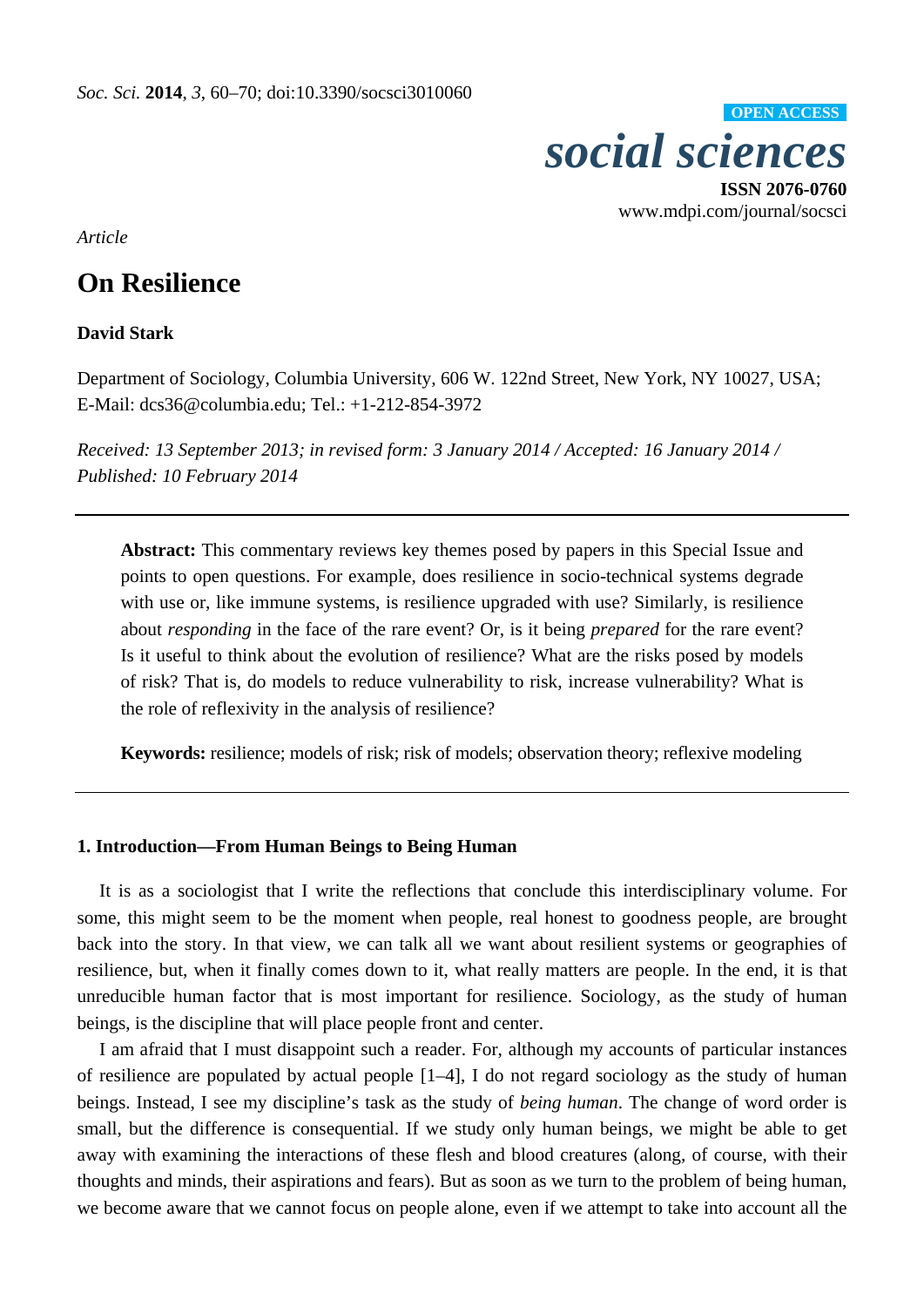

**ISSN 2076-0760**  www.mdpi.com/journal/socsci

*Article* 

# **On Resilience**

## **David Stark**

Department of Sociology, Columbia University, 606 W. 122nd Street, New York, NY 10027, USA; E-Mail: dcs36@columbia.edu; Tel.: +1-212-854-3972

*Received: 13 September 2013; in revised form: 3 January 2014 / Accepted: 16 January 2014 / Published: 10 February 2014*

**Abstract:** This commentary reviews key themes posed by papers in this Special Issue and points to open questions. For example, does resilience in socio-technical systems degrade with use or, like immune systems, is resilience upgraded with use? Similarly, is resilience about *responding* in the face of the rare event? Or, is it being *prepared* for the rare event? Is it useful to think about the evolution of resilience? What are the risks posed by models of risk? That is, do models to reduce vulnerability to risk, increase vulnerability? What is the role of reflexivity in the analysis of resilience?

**Keywords:** resilience; models of risk; risk of models; observation theory; reflexive modeling

## **1. Introduction—From Human Beings to Being Human**

It is as a sociologist that I write the reflections that conclude this interdisciplinary volume. For some, this might seem to be the moment when people, real honest to goodness people, are brought back into the story. In that view, we can talk all we want about resilient systems or geographies of resilience, but, when it finally comes down to it, what really matters are people. In the end, it is that unreducible human factor that is most important for resilience. Sociology, as the study of human beings, is the discipline that will place people front and center.

I am afraid that I must disappoint such a reader. For, although my accounts of particular instances of resilience are populated by actual people [1–4], I do not regard sociology as the study of human beings. Instead, I see my discipline's task as the study of *being human*. The change of word order is small, but the difference is consequential. If we study only human beings, we might be able to get away with examining the interactions of these flesh and blood creatures (along, of course, with their thoughts and minds, their aspirations and fears). But as soon as we turn to the problem of being human, we become aware that we cannot focus on people alone, even if we attempt to take into account all the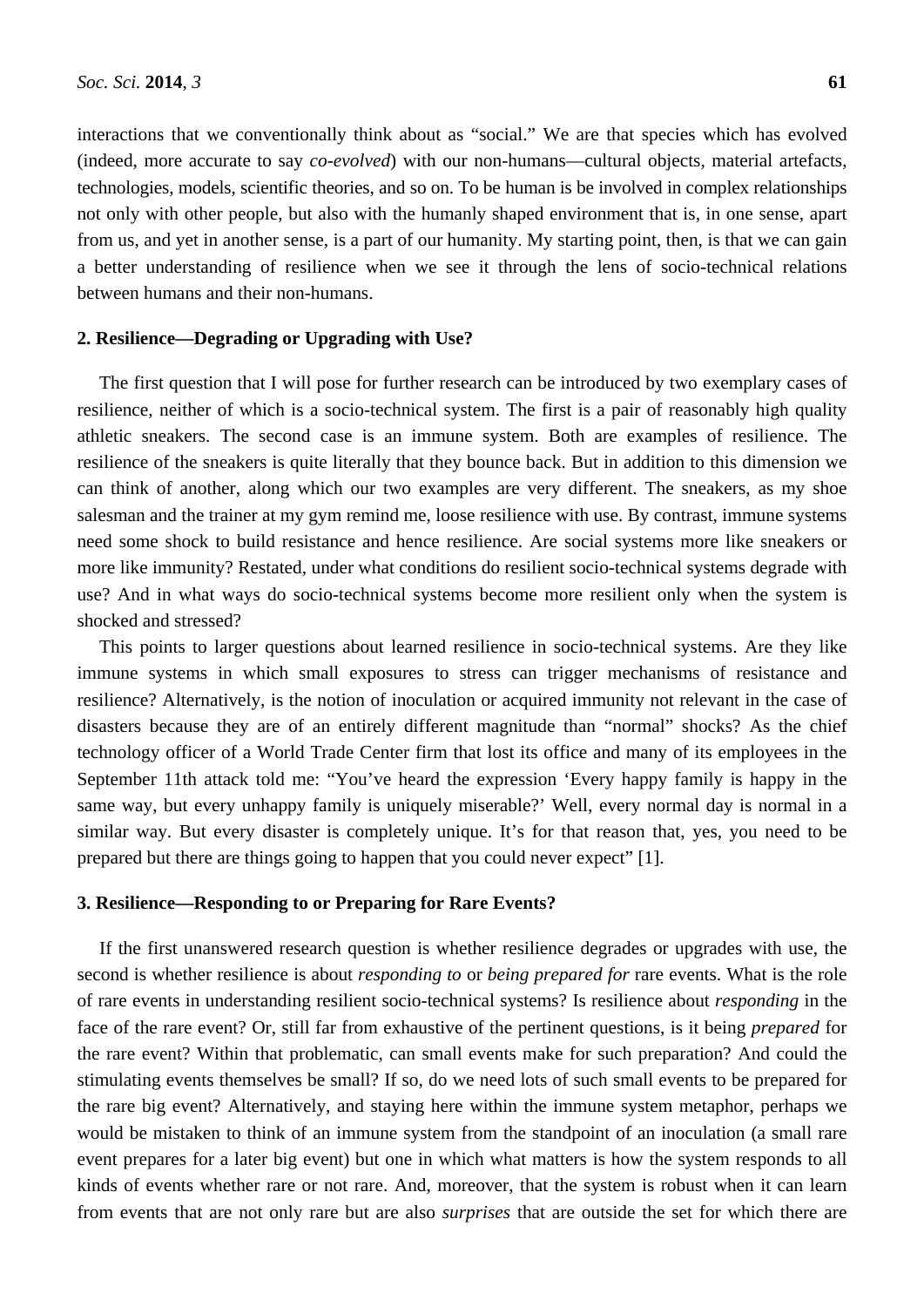interactions that we conventionally think about as "social." We are that species which has evolved (indeed, more accurate to say *co-evolved*) with our non-humans—cultural objects, material artefacts, technologies, models, scientific theories, and so on. To be human is be involved in complex relationships not only with other people, but also with the humanly shaped environment that is, in one sense, apart from us, and yet in another sense, is a part of our humanity. My starting point, then, is that we can gain a better understanding of resilience when we see it through the lens of socio-technical relations between humans and their non-humans.

#### **2. Resilience—Degrading or Upgrading with Use?**

The first question that I will pose for further research can be introduced by two exemplary cases of resilience, neither of which is a socio-technical system. The first is a pair of reasonably high quality athletic sneakers. The second case is an immune system. Both are examples of resilience. The resilience of the sneakers is quite literally that they bounce back. But in addition to this dimension we can think of another, along which our two examples are very different. The sneakers, as my shoe salesman and the trainer at my gym remind me, loose resilience with use. By contrast, immune systems need some shock to build resistance and hence resilience. Are social systems more like sneakers or more like immunity? Restated, under what conditions do resilient socio-technical systems degrade with use? And in what ways do socio-technical systems become more resilient only when the system is shocked and stressed?

This points to larger questions about learned resilience in socio-technical systems. Are they like immune systems in which small exposures to stress can trigger mechanisms of resistance and resilience? Alternatively, is the notion of inoculation or acquired immunity not relevant in the case of disasters because they are of an entirely different magnitude than "normal" shocks? As the chief technology officer of a World Trade Center firm that lost its office and many of its employees in the September 11th attack told me: "You've heard the expression 'Every happy family is happy in the same way, but every unhappy family is uniquely miserable?' Well, every normal day is normal in a similar way. But every disaster is completely unique. It's for that reason that, yes, you need to be prepared but there are things going to happen that you could never expect" [1].

#### **3. Resilience—Responding to or Preparing for Rare Events?**

If the first unanswered research question is whether resilience degrades or upgrades with use, the second is whether resilience is about *responding to* or *being prepared for* rare events. What is the role of rare events in understanding resilient socio-technical systems? Is resilience about *responding* in the face of the rare event? Or, still far from exhaustive of the pertinent questions, is it being *prepared* for the rare event? Within that problematic, can small events make for such preparation? And could the stimulating events themselves be small? If so, do we need lots of such small events to be prepared for the rare big event? Alternatively, and staying here within the immune system metaphor, perhaps we would be mistaken to think of an immune system from the standpoint of an inoculation (a small rare event prepares for a later big event) but one in which what matters is how the system responds to all kinds of events whether rare or not rare. And, moreover, that the system is robust when it can learn from events that are not only rare but are also *surprises* that are outside the set for which there are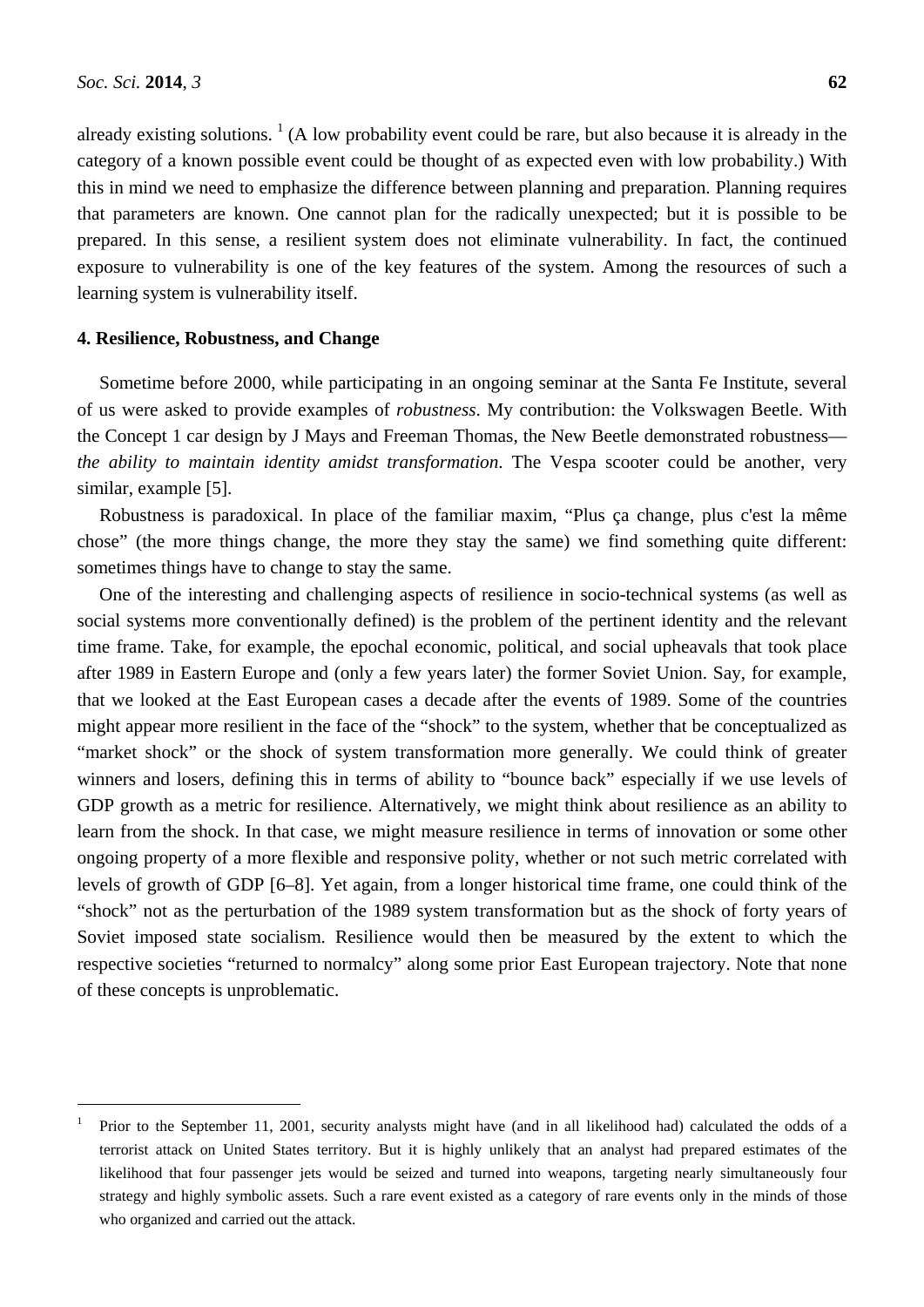$\overline{a}$ 

already existing solutions.  $<sup>1</sup>$  (A low probability event could be rare, but also because it is already in the</sup> category of a known possible event could be thought of as expected even with low probability.) With this in mind we need to emphasize the difference between planning and preparation. Planning requires that parameters are known. One cannot plan for the radically unexpected; but it is possible to be prepared. In this sense, a resilient system does not eliminate vulnerability. In fact, the continued exposure to vulnerability is one of the key features of the system. Among the resources of such a learning system is vulnerability itself.

#### **4. Resilience, Robustness, and Change**

Sometime before 2000, while participating in an ongoing seminar at the Santa Fe Institute, several of us were asked to provide examples of *robustness*. My contribution: the Volkswagen Beetle. With the Concept 1 car design by J Mays and Freeman Thomas, the New Beetle demonstrated robustness *the ability to maintain identity amidst transformation*. The Vespa scooter could be another, very similar, example [5].

Robustness is paradoxical. In place of the familiar maxim, "Plus ça change, plus c'est la même chose" (the more things change, the more they stay the same) we find something quite different: sometimes things have to change to stay the same.

One of the interesting and challenging aspects of resilience in socio-technical systems (as well as social systems more conventionally defined) is the problem of the pertinent identity and the relevant time frame. Take, for example, the epochal economic, political, and social upheavals that took place after 1989 in Eastern Europe and (only a few years later) the former Soviet Union. Say, for example, that we looked at the East European cases a decade after the events of 1989. Some of the countries might appear more resilient in the face of the "shock" to the system, whether that be conceptualized as "market shock" or the shock of system transformation more generally. We could think of greater winners and losers, defining this in terms of ability to "bounce back" especially if we use levels of GDP growth as a metric for resilience. Alternatively, we might think about resilience as an ability to learn from the shock. In that case, we might measure resilience in terms of innovation or some other ongoing property of a more flexible and responsive polity, whether or not such metric correlated with levels of growth of GDP [6–8]. Yet again, from a longer historical time frame, one could think of the "shock" not as the perturbation of the 1989 system transformation but as the shock of forty years of Soviet imposed state socialism. Resilience would then be measured by the extent to which the respective societies "returned to normalcy" along some prior East European trajectory. Note that none of these concepts is unproblematic.

<sup>1</sup> Prior to the September 11, 2001, security analysts might have (and in all likelihood had) calculated the odds of a terrorist attack on United States territory. But it is highly unlikely that an analyst had prepared estimates of the likelihood that four passenger jets would be seized and turned into weapons, targeting nearly simultaneously four strategy and highly symbolic assets. Such a rare event existed as a category of rare events only in the minds of those who organized and carried out the attack.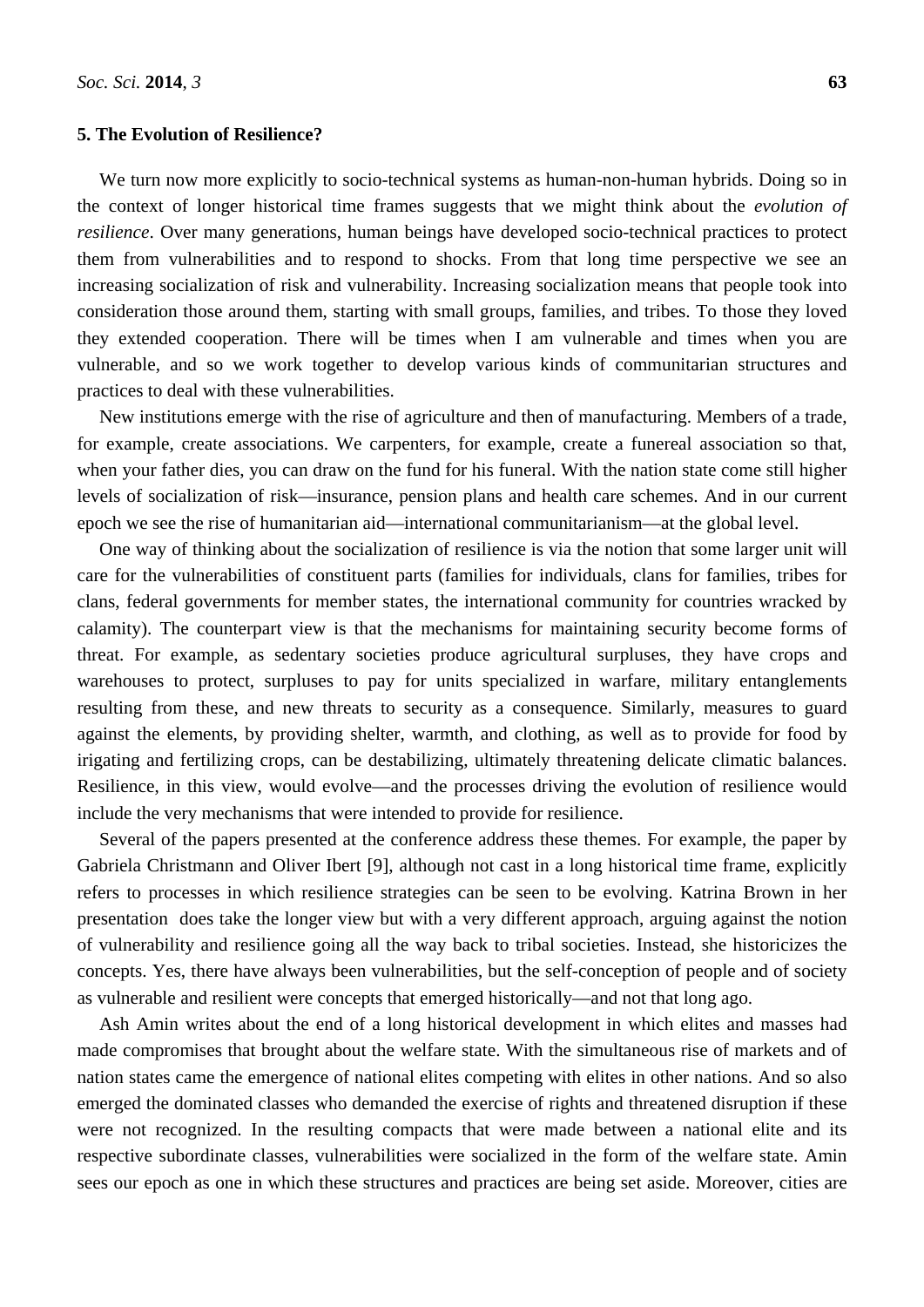#### **5. The Evolution of Resilience?**

We turn now more explicitly to socio-technical systems as human-non-human hybrids. Doing so in the context of longer historical time frames suggests that we might think about the *evolution of resilience*. Over many generations, human beings have developed socio-technical practices to protect them from vulnerabilities and to respond to shocks. From that long time perspective we see an increasing socialization of risk and vulnerability. Increasing socialization means that people took into consideration those around them, starting with small groups, families, and tribes. To those they loved they extended cooperation. There will be times when I am vulnerable and times when you are vulnerable, and so we work together to develop various kinds of communitarian structures and practices to deal with these vulnerabilities.

New institutions emerge with the rise of agriculture and then of manufacturing. Members of a trade, for example, create associations. We carpenters, for example, create a funereal association so that, when your father dies, you can draw on the fund for his funeral. With the nation state come still higher levels of socialization of risk—insurance, pension plans and health care schemes. And in our current epoch we see the rise of humanitarian aid—international communitarianism—at the global level.

One way of thinking about the socialization of resilience is via the notion that some larger unit will care for the vulnerabilities of constituent parts (families for individuals, clans for families, tribes for clans, federal governments for member states, the international community for countries wracked by calamity). The counterpart view is that the mechanisms for maintaining security become forms of threat. For example, as sedentary societies produce agricultural surpluses, they have crops and warehouses to protect, surpluses to pay for units specialized in warfare, military entanglements resulting from these, and new threats to security as a consequence. Similarly, measures to guard against the elements, by providing shelter, warmth, and clothing, as well as to provide for food by irigating and fertilizing crops, can be destabilizing, ultimately threatening delicate climatic balances. Resilience, in this view, would evolve—and the processes driving the evolution of resilience would include the very mechanisms that were intended to provide for resilience.

Several of the papers presented at the conference address these themes. For example, the paper by Gabriela Christmann and Oliver Ibert [9], although not cast in a long historical time frame, explicitly refers to processes in which resilience strategies can be seen to be evolving. Katrina Brown in her presentation does take the longer view but with a very different approach, arguing against the notion of vulnerability and resilience going all the way back to tribal societies. Instead, she historicizes the concepts. Yes, there have always been vulnerabilities, but the self-conception of people and of society as vulnerable and resilient were concepts that emerged historically—and not that long ago.

Ash Amin writes about the end of a long historical development in which elites and masses had made compromises that brought about the welfare state. With the simultaneous rise of markets and of nation states came the emergence of national elites competing with elites in other nations. And so also emerged the dominated classes who demanded the exercise of rights and threatened disruption if these were not recognized. In the resulting compacts that were made between a national elite and its respective subordinate classes, vulnerabilities were socialized in the form of the welfare state. Amin sees our epoch as one in which these structures and practices are being set aside. Moreover, cities are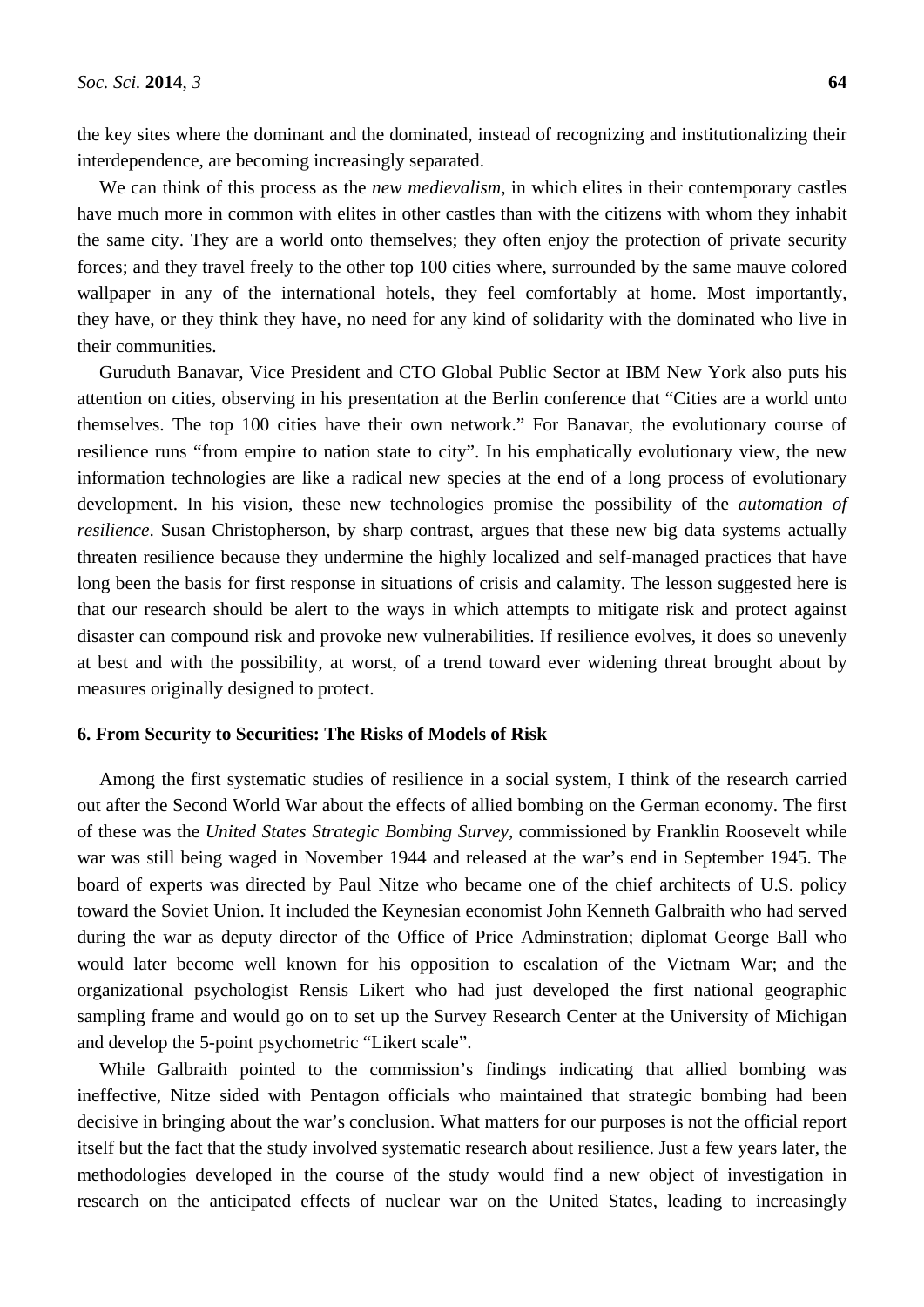the key sites where the dominant and the dominated, instead of recognizing and institutionalizing their interdependence, are becoming increasingly separated.

We can think of this process as the *new medievalism*, in which elites in their contemporary castles have much more in common with elites in other castles than with the citizens with whom they inhabit the same city. They are a world onto themselves; they often enjoy the protection of private security forces; and they travel freely to the other top 100 cities where, surrounded by the same mauve colored wallpaper in any of the international hotels, they feel comfortably at home. Most importantly, they have, or they think they have, no need for any kind of solidarity with the dominated who live in their communities.

Guruduth Banavar, Vice President and CTO Global Public Sector at IBM New York also puts his attention on cities, observing in his presentation at the Berlin conference that "Cities are a world unto themselves. The top 100 cities have their own network." For Banavar, the evolutionary course of resilience runs "from empire to nation state to city". In his emphatically evolutionary view, the new information technologies are like a radical new species at the end of a long process of evolutionary development. In his vision, these new technologies promise the possibility of the *automation of resilience*. Susan Christopherson, by sharp contrast, argues that these new big data systems actually threaten resilience because they undermine the highly localized and self-managed practices that have long been the basis for first response in situations of crisis and calamity. The lesson suggested here is that our research should be alert to the ways in which attempts to mitigate risk and protect against disaster can compound risk and provoke new vulnerabilities. If resilience evolves, it does so unevenly at best and with the possibility, at worst, of a trend toward ever widening threat brought about by measures originally designed to protect.

#### **6. From Security to Securities: The Risks of Models of Risk**

Among the first systematic studies of resilience in a social system, I think of the research carried out after the Second World War about the effects of allied bombing on the German economy. The first of these was the *United States Strategic Bombing Survey*, commissioned by Franklin Roosevelt while war was still being waged in November 1944 and released at the war's end in September 1945. The board of experts was directed by Paul Nitze who became one of the chief architects of U.S. policy toward the Soviet Union. It included the Keynesian economist John Kenneth Galbraith who had served during the war as deputy director of the Office of Price Adminstration; diplomat George Ball who would later become well known for his opposition to escalation of the Vietnam War; and the organizational psychologist Rensis Likert who had just developed the first national geographic sampling frame and would go on to set up the Survey Research Center at the University of Michigan and develop the 5-point psychometric "Likert scale".

While Galbraith pointed to the commission's findings indicating that allied bombing was ineffective, Nitze sided with Pentagon officials who maintained that strategic bombing had been decisive in bringing about the war's conclusion. What matters for our purposes is not the official report itself but the fact that the study involved systematic research about resilience. Just a few years later, the methodologies developed in the course of the study would find a new object of investigation in research on the anticipated effects of nuclear war on the United States, leading to increasingly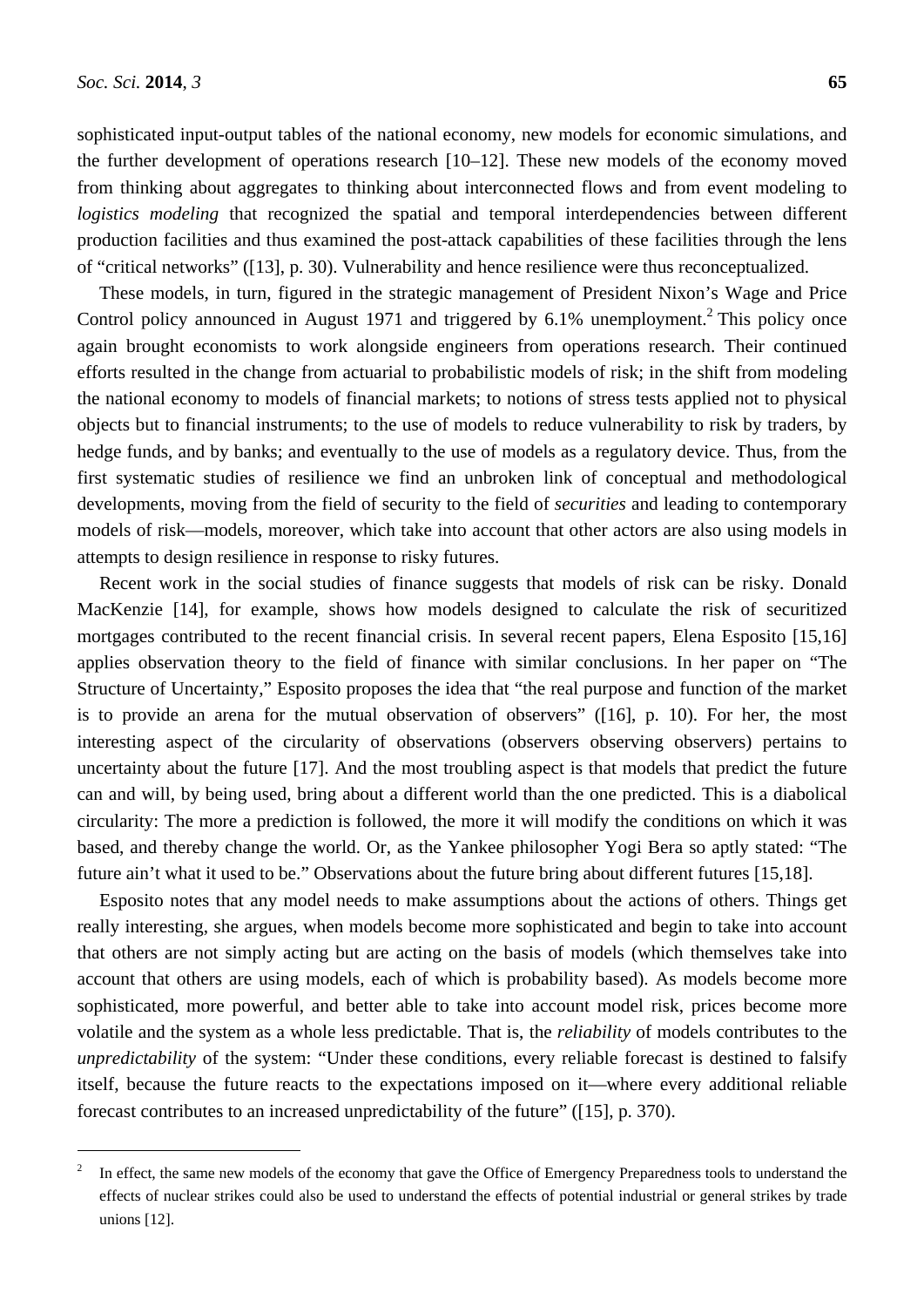$\overline{a}$ 

sophisticated input-output tables of the national economy, new models for economic simulations, and the further development of operations research [10–12]. These new models of the economy moved from thinking about aggregates to thinking about interconnected flows and from event modeling to *logistics modeling* that recognized the spatial and temporal interdependencies between different production facilities and thus examined the post-attack capabilities of these facilities through the lens of "critical networks" ([13], p. 30). Vulnerability and hence resilience were thus reconceptualized.

These models, in turn, figured in the strategic management of President Nixon's Wage and Price Control policy announced in August 1971 and triggered by  $6.1\%$  unemployment.<sup>2</sup> This policy once again brought economists to work alongside engineers from operations research. Their continued efforts resulted in the change from actuarial to probabilistic models of risk; in the shift from modeling the national economy to models of financial markets; to notions of stress tests applied not to physical objects but to financial instruments; to the use of models to reduce vulnerability to risk by traders, by hedge funds, and by banks; and eventually to the use of models as a regulatory device. Thus, from the first systematic studies of resilience we find an unbroken link of conceptual and methodological developments, moving from the field of security to the field of *securities* and leading to contemporary models of risk—models, moreover, which take into account that other actors are also using models in attempts to design resilience in response to risky futures.

Recent work in the social studies of finance suggests that models of risk can be risky. Donald MacKenzie [14], for example, shows how models designed to calculate the risk of securitized mortgages contributed to the recent financial crisis. In several recent papers, Elena Esposito [15,16] applies observation theory to the field of finance with similar conclusions. In her paper on "The Structure of Uncertainty," Esposito proposes the idea that "the real purpose and function of the market is to provide an arena for the mutual observation of observers" ([16], p. 10). For her, the most interesting aspect of the circularity of observations (observers observing observers) pertains to uncertainty about the future [17]. And the most troubling aspect is that models that predict the future can and will, by being used, bring about a different world than the one predicted. This is a diabolical circularity: The more a prediction is followed, the more it will modify the conditions on which it was based, and thereby change the world. Or, as the Yankee philosopher Yogi Bera so aptly stated: "The future ain't what it used to be." Observations about the future bring about different futures [15,18].

Esposito notes that any model needs to make assumptions about the actions of others. Things get really interesting, she argues, when models become more sophisticated and begin to take into account that others are not simply acting but are acting on the basis of models (which themselves take into account that others are using models, each of which is probability based). As models become more sophisticated, more powerful, and better able to take into account model risk, prices become more volatile and the system as a whole less predictable. That is, the *reliability* of models contributes to the *unpredictability* of the system: "Under these conditions, every reliable forecast is destined to falsify itself, because the future reacts to the expectations imposed on it—where every additional reliable forecast contributes to an increased unpredictability of the future" ([15], p. 370).

<sup>2</sup> In effect, the same new models of the economy that gave the Office of Emergency Preparedness tools to understand the effects of nuclear strikes could also be used to understand the effects of potential industrial or general strikes by trade unions [12].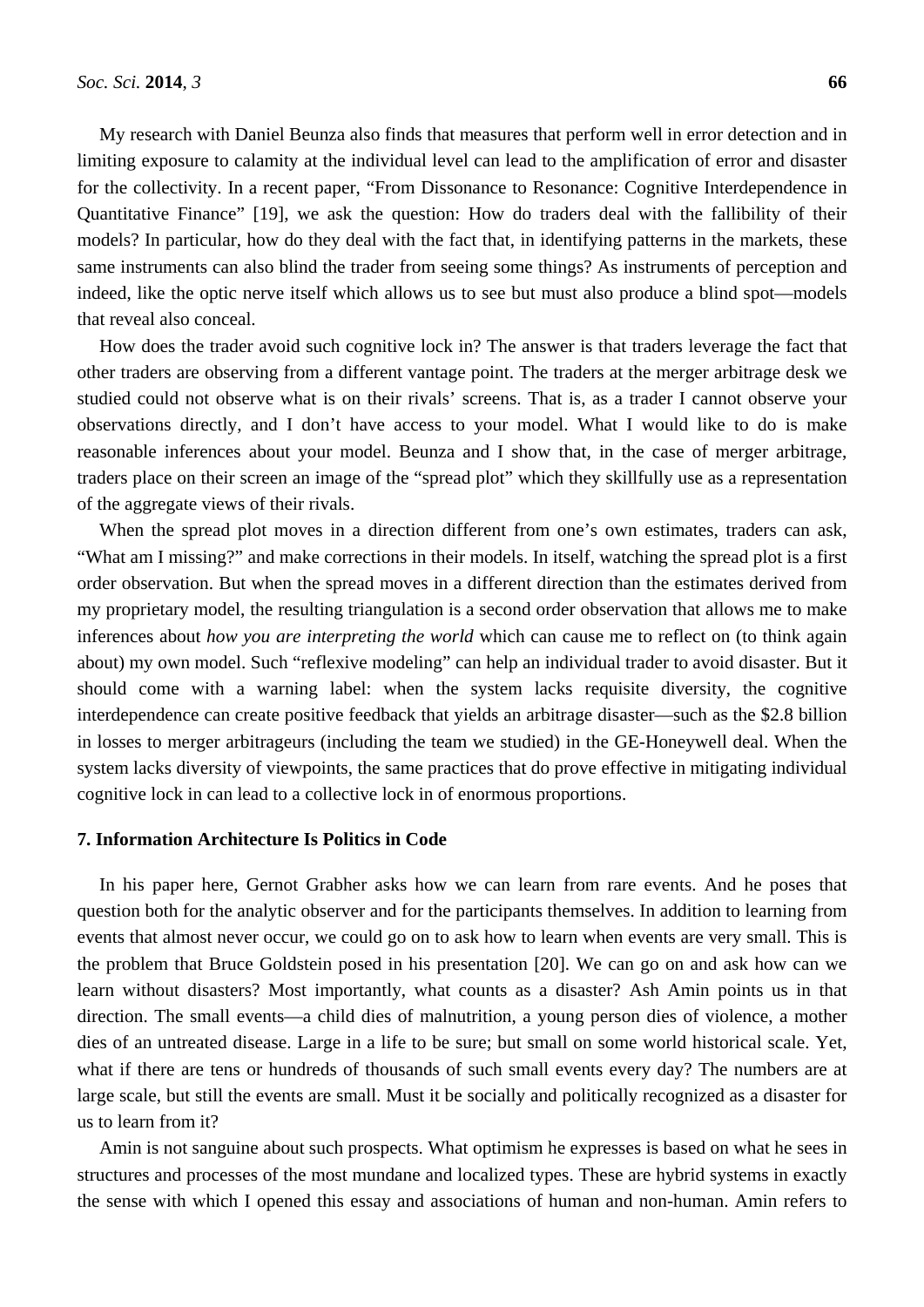My research with Daniel Beunza also finds that measures that perform well in error detection and in limiting exposure to calamity at the individual level can lead to the amplification of error and disaster for the collectivity. In a recent paper, "From Dissonance to Resonance: Cognitive Interdependence in Quantitative Finance" [19], we ask the question: How do traders deal with the fallibility of their models? In particular, how do they deal with the fact that, in identifying patterns in the markets, these same instruments can also blind the trader from seeing some things? As instruments of perception and indeed, like the optic nerve itself which allows us to see but must also produce a blind spot—models that reveal also conceal.

How does the trader avoid such cognitive lock in? The answer is that traders leverage the fact that other traders are observing from a different vantage point. The traders at the merger arbitrage desk we studied could not observe what is on their rivals' screens. That is, as a trader I cannot observe your observations directly, and I don't have access to your model. What I would like to do is make reasonable inferences about your model. Beunza and I show that, in the case of merger arbitrage, traders place on their screen an image of the "spread plot" which they skillfully use as a representation of the aggregate views of their rivals.

When the spread plot moves in a direction different from one's own estimates, traders can ask, "What am I missing?" and make corrections in their models. In itself, watching the spread plot is a first order observation. But when the spread moves in a different direction than the estimates derived from my proprietary model, the resulting triangulation is a second order observation that allows me to make inferences about *how you are interpreting the world* which can cause me to reflect on (to think again about) my own model. Such "reflexive modeling" can help an individual trader to avoid disaster. But it should come with a warning label: when the system lacks requisite diversity, the cognitive interdependence can create positive feedback that yields an arbitrage disaster—such as the \$2.8 billion in losses to merger arbitrageurs (including the team we studied) in the GE-Honeywell deal. When the system lacks diversity of viewpoints, the same practices that do prove effective in mitigating individual cognitive lock in can lead to a collective lock in of enormous proportions.

## **7. Information Architecture Is Politics in Code**

In his paper here, Gernot Grabher asks how we can learn from rare events. And he poses that question both for the analytic observer and for the participants themselves. In addition to learning from events that almost never occur, we could go on to ask how to learn when events are very small. This is the problem that Bruce Goldstein posed in his presentation [20]. We can go on and ask how can we learn without disasters? Most importantly, what counts as a disaster? Ash Amin points us in that direction. The small events—a child dies of malnutrition, a young person dies of violence, a mother dies of an untreated disease. Large in a life to be sure; but small on some world historical scale. Yet, what if there are tens or hundreds of thousands of such small events every day? The numbers are at large scale, but still the events are small. Must it be socially and politically recognized as a disaster for us to learn from it?

Amin is not sanguine about such prospects. What optimism he expresses is based on what he sees in structures and processes of the most mundane and localized types. These are hybrid systems in exactly the sense with which I opened this essay and associations of human and non-human. Amin refers to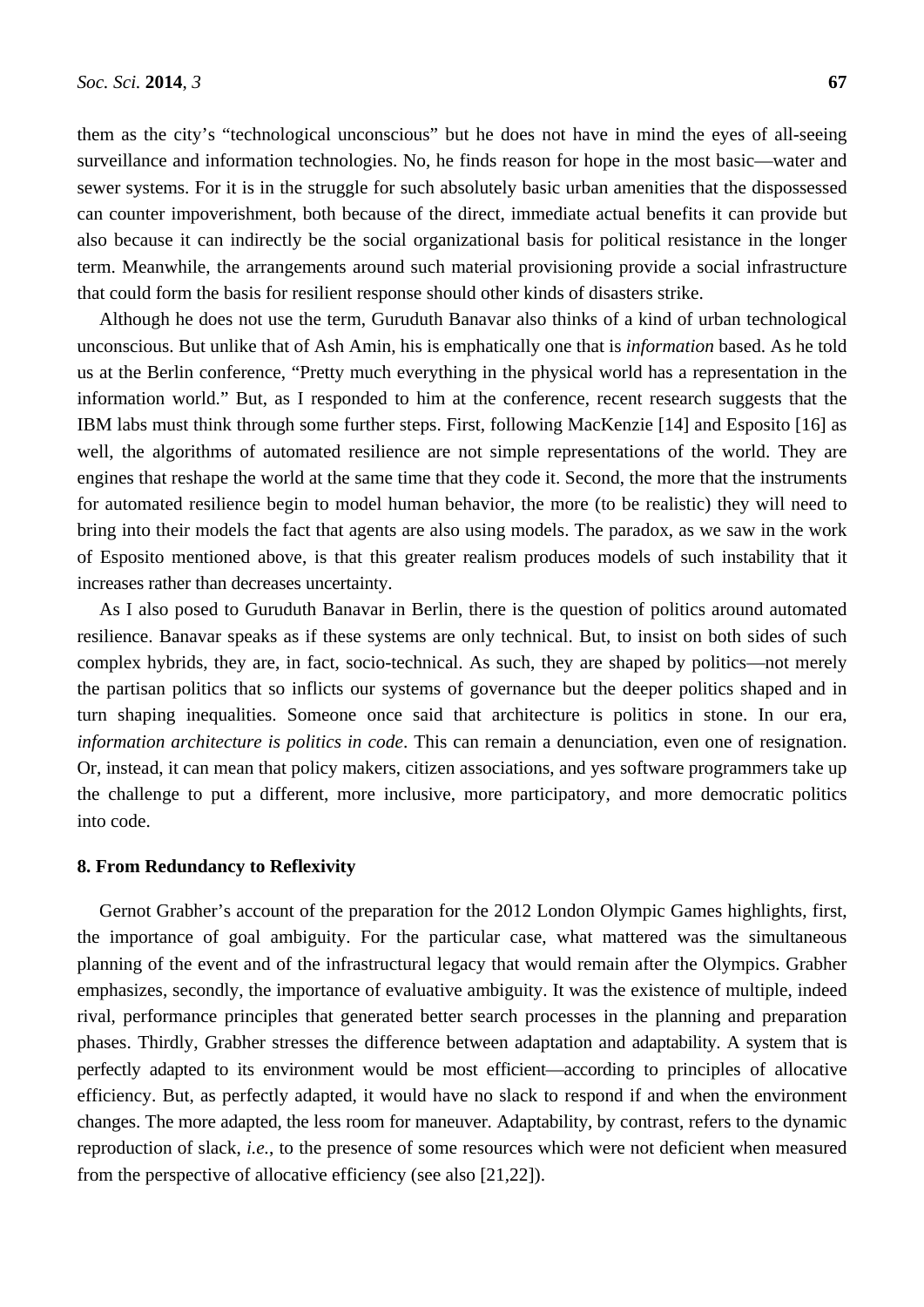them as the city's "technological unconscious" but he does not have in mind the eyes of all-seeing surveillance and information technologies. No, he finds reason for hope in the most basic—water and sewer systems. For it is in the struggle for such absolutely basic urban amenities that the dispossessed can counter impoverishment, both because of the direct, immediate actual benefits it can provide but also because it can indirectly be the social organizational basis for political resistance in the longer term. Meanwhile, the arrangements around such material provisioning provide a social infrastructure that could form the basis for resilient response should other kinds of disasters strike.

Although he does not use the term, Guruduth Banavar also thinks of a kind of urban technological unconscious. But unlike that of Ash Amin, his is emphatically one that is *information* based. As he told us at the Berlin conference, "Pretty much everything in the physical world has a representation in the information world." But, as I responded to him at the conference, recent research suggests that the IBM labs must think through some further steps. First, following MacKenzie [14] and Esposito [16] as well, the algorithms of automated resilience are not simple representations of the world. They are engines that reshape the world at the same time that they code it. Second, the more that the instruments for automated resilience begin to model human behavior, the more (to be realistic) they will need to bring into their models the fact that agents are also using models. The paradox, as we saw in the work of Esposito mentioned above, is that this greater realism produces models of such instability that it increases rather than decreases uncertainty.

As I also posed to Guruduth Banavar in Berlin, there is the question of politics around automated resilience. Banavar speaks as if these systems are only technical. But, to insist on both sides of such complex hybrids, they are, in fact, socio-technical. As such, they are shaped by politics—not merely the partisan politics that so inflicts our systems of governance but the deeper politics shaped and in turn shaping inequalities. Someone once said that architecture is politics in stone. In our era, *information architecture is politics in code*. This can remain a denunciation, even one of resignation. Or, instead, it can mean that policy makers, citizen associations, and yes software programmers take up the challenge to put a different, more inclusive, more participatory, and more democratic politics into code.

#### **8. From Redundancy to Reflexivity**

Gernot Grabher's account of the preparation for the 2012 London Olympic Games highlights, first, the importance of goal ambiguity. For the particular case, what mattered was the simultaneous planning of the event and of the infrastructural legacy that would remain after the Olympics. Grabher emphasizes, secondly, the importance of evaluative ambiguity. It was the existence of multiple, indeed rival, performance principles that generated better search processes in the planning and preparation phases. Thirdly, Grabher stresses the difference between adaptation and adaptability. A system that is perfectly adapted to its environment would be most efficient—according to principles of allocative efficiency. But, as perfectly adapted, it would have no slack to respond if and when the environment changes. The more adapted, the less room for maneuver. Adaptability, by contrast, refers to the dynamic reproduction of slack, *i.e.*, to the presence of some resources which were not deficient when measured from the perspective of allocative efficiency (see also [21,22]).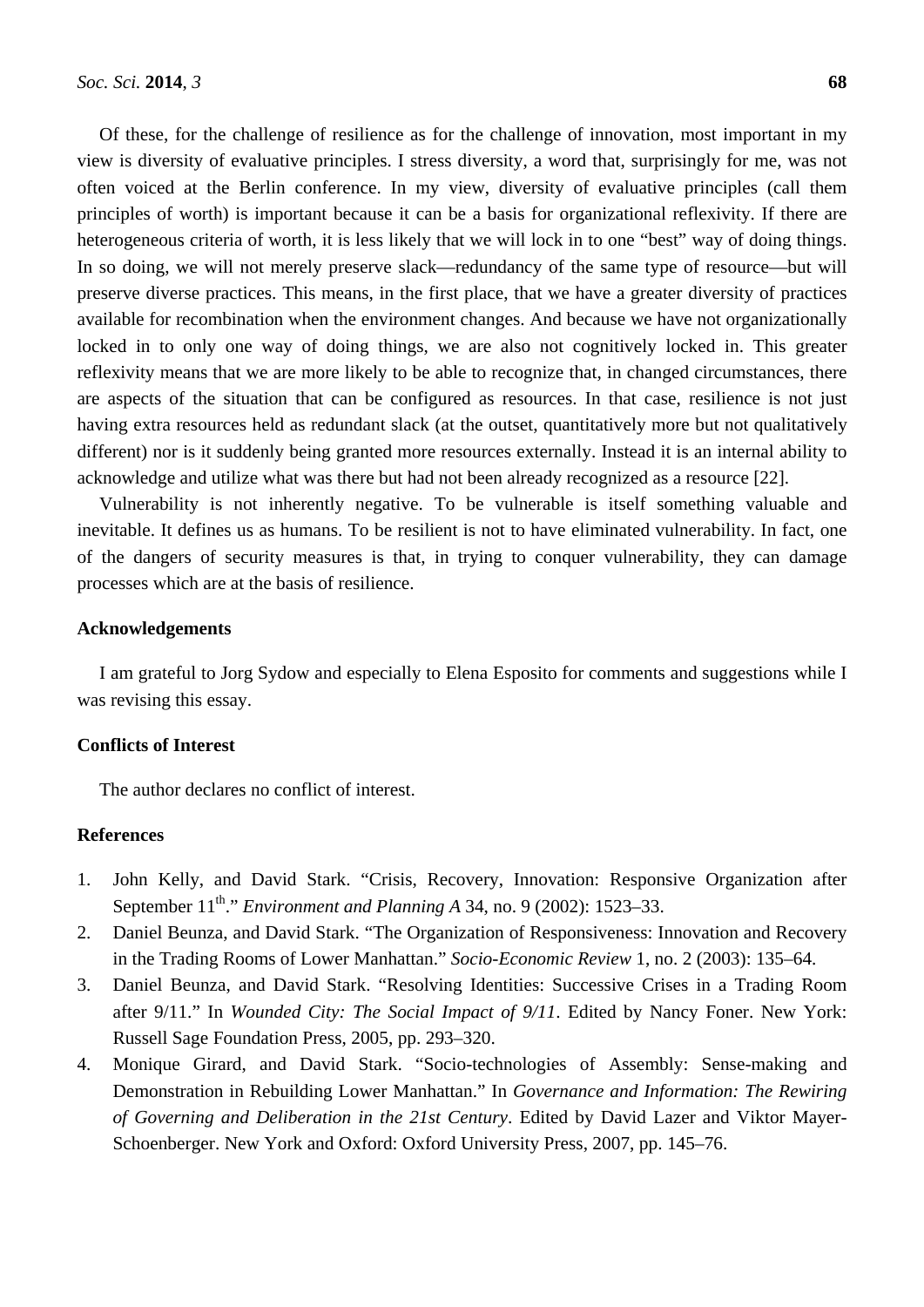Of these, for the challenge of resilience as for the challenge of innovation, most important in my view is diversity of evaluative principles. I stress diversity, a word that, surprisingly for me, was not often voiced at the Berlin conference. In my view, diversity of evaluative principles (call them principles of worth) is important because it can be a basis for organizational reflexivity. If there are heterogeneous criteria of worth, it is less likely that we will lock in to one "best" way of doing things. In so doing, we will not merely preserve slack—redundancy of the same type of resource—but will preserve diverse practices. This means, in the first place, that we have a greater diversity of practices available for recombination when the environment changes. And because we have not organizationally locked in to only one way of doing things, we are also not cognitively locked in. This greater reflexivity means that we are more likely to be able to recognize that, in changed circumstances, there are aspects of the situation that can be configured as resources. In that case, resilience is not just having extra resources held as redundant slack (at the outset, quantitatively more but not qualitatively different) nor is it suddenly being granted more resources externally. Instead it is an internal ability to acknowledge and utilize what was there but had not been already recognized as a resource [22].

Vulnerability is not inherently negative. To be vulnerable is itself something valuable and inevitable. It defines us as humans. To be resilient is not to have eliminated vulnerability. In fact, one of the dangers of security measures is that, in trying to conquer vulnerability, they can damage processes which are at the basis of resilience.

## **Acknowledgements**

I am grateful to Jorg Sydow and especially to Elena Esposito for comments and suggestions while I was revising this essay.

## **Conflicts of Interest**

The author declares no conflict of interest.

## **References**

- 1. John Kelly, and David Stark. "Crisis, Recovery, Innovation: Responsive Organization after September 11<sup>th</sup>." *Environment and Planning A* 34, no. 9 (2002): 1523–33.
- 2. Daniel Beunza, and David Stark. "The Organization of Responsiveness: Innovation and Recovery in the Trading Rooms of Lower Manhattan." *Socio-Economic Review* 1, no. 2 (2003): 135–64.
- 3. Daniel Beunza, and David Stark. "Resolving Identities: Successive Crises in a Trading Room after 9/11." In *Wounded City: The Social Impact of 9/11*. Edited by Nancy Foner. New York: Russell Sage Foundation Press, 2005, pp. 293–320.
- 4. Monique Girard, and David Stark. "Socio-technologies of Assembly: Sense-making and Demonstration in Rebuilding Lower Manhattan." In *Governance and Information: The Rewiring of Governing and Deliberation in the 21st Century*. Edited by David Lazer and Viktor Mayer-Schoenberger. New York and Oxford: Oxford University Press, 2007, pp. 145–76.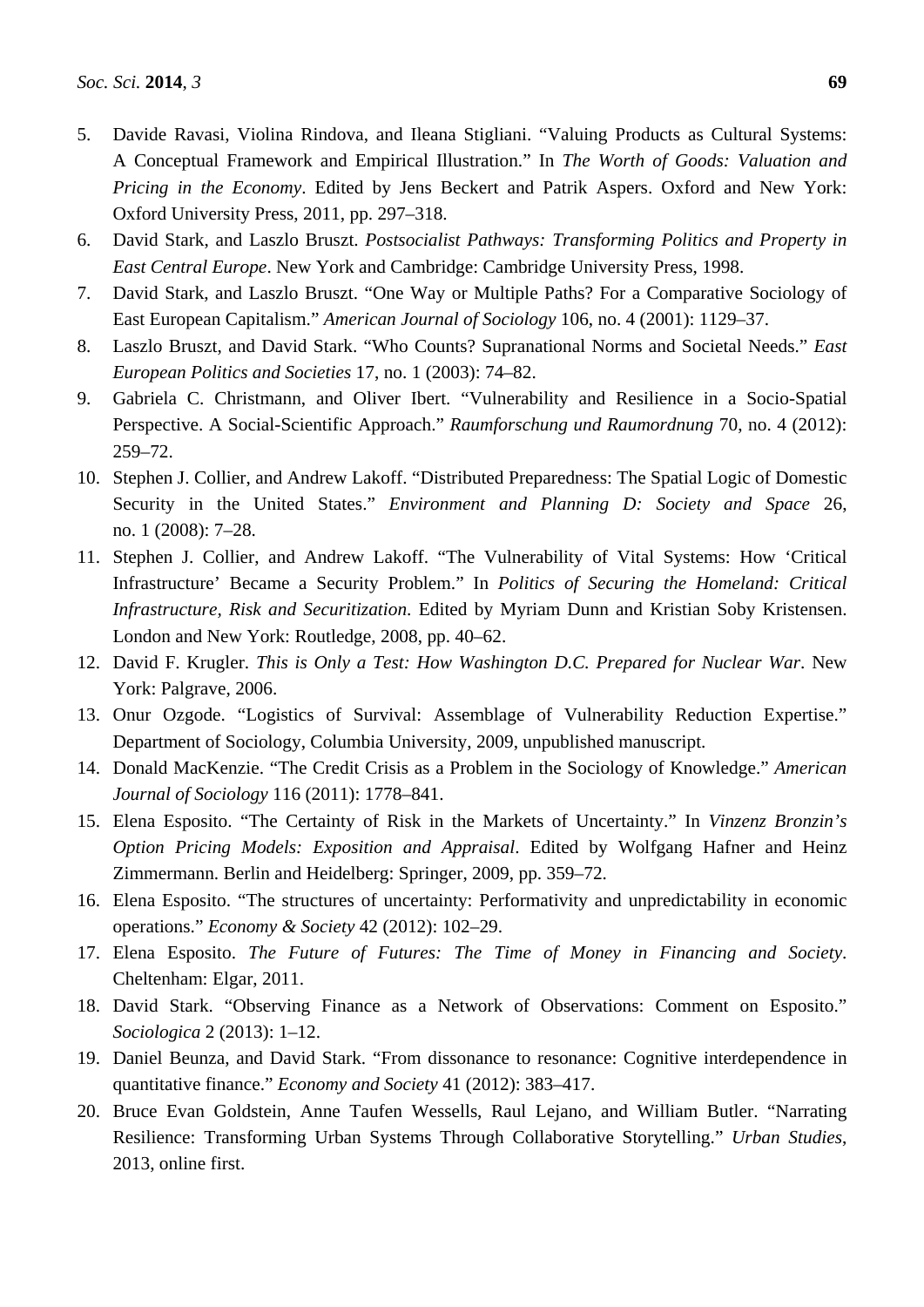- 5. Davide Ravasi, Violina Rindova, and Ileana Stigliani. "Valuing Products as Cultural Systems: A Conceptual Framework and Empirical Illustration." In *The Worth of Goods: Valuation and Pricing in the Economy*. Edited by Jens Beckert and Patrik Aspers. Oxford and New York: Oxford University Press, 2011, pp. 297–318.
- 6. David Stark, and Laszlo Bruszt. *Postsocialist Pathways: Transforming Politics and Property in East Central Europe*. New York and Cambridge: Cambridge University Press, 1998.
- 7. David Stark, and Laszlo Bruszt. "One Way or Multiple Paths? For a Comparative Sociology of East European Capitalism." *American Journal of Sociology* 106, no. 4 (2001): 1129–37.
- 8. Laszlo Bruszt, and David Stark. "Who Counts? Supranational Norms and Societal Needs." *East European Politics and Societies* 17, no. 1 (2003): 74–82.
- 9. Gabriela C. Christmann, and Oliver Ibert. "Vulnerability and Resilience in a Socio-Spatial Perspective. A Social-Scientific Approach." *Raumforschung und Raumordnung* 70, no. 4 (2012): 259–72.
- 10. Stephen J. Collier, and Andrew Lakoff. "Distributed Preparedness: The Spatial Logic of Domestic Security in the United States." *Environment and Planning D: Society and Space* 26, no. 1 (2008): 7–28.
- 11. Stephen J. Collier, and Andrew Lakoff. "The Vulnerability of Vital Systems: How 'Critical Infrastructure' Became a Security Problem." In *Politics of Securing the Homeland: Critical Infrastructure, Risk and Securitization*. Edited by Myriam Dunn and Kristian Soby Kristensen. London and New York: Routledge, 2008, pp. 40–62.
- 12. David F. Krugler. *This is Only a Test: How Washington D.C. Prepared for Nuclear War*. New York: Palgrave, 2006.
- 13. Onur Ozgode. "Logistics of Survival: Assemblage of Vulnerability Reduction Expertise." Department of Sociology, Columbia University, 2009, unpublished manuscript.
- 14. Donald MacKenzie. "The Credit Crisis as a Problem in the Sociology of Knowledge." *American Journal of Sociology* 116 (2011): 1778–841.
- 15. Elena Esposito. "The Certainty of Risk in the Markets of Uncertainty." In *Vinzenz Bronzin's Option Pricing Models: Exposition and Appraisal*. Edited by Wolfgang Hafner and Heinz Zimmermann. Berlin and Heidelberg: Springer, 2009, pp. 359–72.
- 16. Elena Esposito. "The structures of uncertainty: Performativity and unpredictability in economic operations." *Economy & Society* 42 (2012): 102–29.
- 17. Elena Esposito. *The Future of Futures: The Time of Money in Financing and Society*. Cheltenham: Elgar, 2011.
- 18. David Stark. "Observing Finance as a Network of Observations: Comment on Esposito." *Sociologica* 2 (2013): 1–12.
- 19. Daniel Beunza, and David Stark. "From dissonance to resonance: Cognitive interdependence in quantitative finance." *Economy and Society* 41 (2012): 383–417.
- 20. Bruce Evan Goldstein, Anne Taufen Wessells, Raul Lejano, and William Butler. "Narrating Resilience: Transforming Urban Systems Through Collaborative Storytelling." *Urban Studies*, 2013, online first.